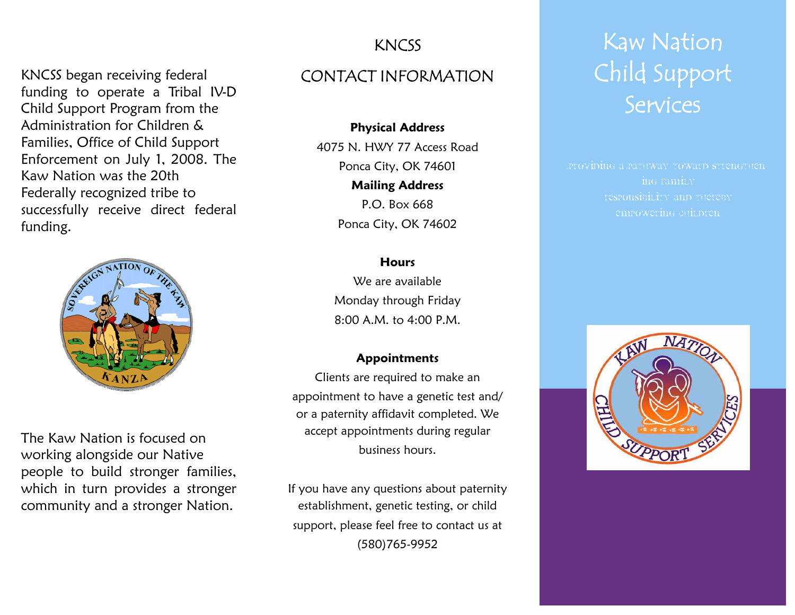# KNCSS

KNCSS began receiving federal funding to operate a Tribal IV-D Child Support Program from the Administration for Children & Families, Office of Child Support Enforcement on July 1, 2008. The Kaw Nation was the 20th Federally recognized tribe to successfully receive direct federal funding.



The Kaw Nation is focused on working alongside our Native people to build stronger families, which in turn provides a stronger community and a stronger Nation.

# CONTACT INFORMATION

**Physical Address**  4075 N. HWY 77 Access Road Ponca City, OK 74601 **Mailing Address**  P.O. Box 668 Ponca City, OK 74602

#### **Hours**

We are available Monday through Friday 8:00 A.M. to 4:00 P.M.

#### **Appointments**

Clients are required to make an appointment to have a genetic test and/ or a paternity affidavit completed. We accept appointments during regular business hours.

If you have any questions about paternity establishment, genetic testing, or child support, please feel free to contact us at (580)765-9952

# Kaw Nation Child Support Services

ing family